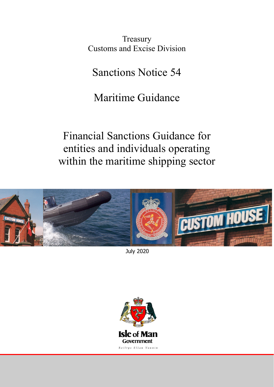**Treasury** Customs and Excise Division

Sanctions Notice 54

# Maritime Guidance

Financial Sanctions Guidance for entities and individuals operating within the maritime shipping sector



July 2020

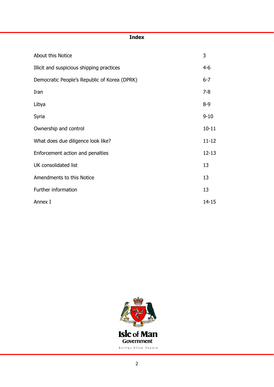## **Index**

| About this Notice                            | 3         |
|----------------------------------------------|-----------|
| Illicit and suspicious shipping practices    | 4-6       |
| Democratic People's Republic of Korea (DPRK) | $6 - 7$   |
| Iran                                         | $7 - 8$   |
| Libya                                        | $8 - 9$   |
| Syria                                        | $9 - 10$  |
| Ownership and control                        | $10 - 11$ |
| What does due diligence look like?           | $11 - 12$ |
| Enforcement action and penalties             | $12 - 13$ |
| UK consolidated list                         | 13        |
| Amendments to this Notice                    | 13        |
| Further information                          | 13        |
| Annex I                                      | $14 - 15$ |

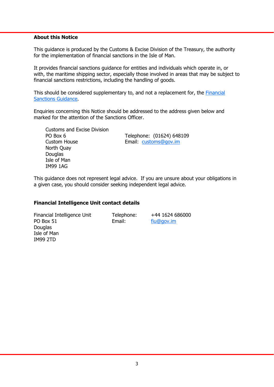## **About this Notice**

This guidance is produced by the Customs & Excise Division of the Treasury, the authority for the implementation of financial sanctions in the Isle of Man.

It provides financial sanctions guidance for entities and individuals which operate in, or with, the maritime shipping sector, especially those involved in areas that may be subject to financial sanctions restrictions, including the handling of goods.

[This should be considered supplementary to, and not a replacement for, the Financial](https://www.gov.im/media/1362741/financial-sanctions-guidance-september-2018-final.pdf)  Sanctions Guidance.

Enquiries concerning this Notice should be addressed to the address given below and marked for the attention of the Sanctions Officer.

Customs and Excise Division PO Box 6 Telephone: (01624) 648109 Custom House Email: customs@gov.im North Quay **Douglas** Isle of Man IM99 1AG

This guidance does not represent legal advice. If you are unsure about your obligations in a given case, you should consider seeking independent legal advice.

#### **Financial Intelligence Unit contact details**

Financial Intelligence Unit Telephone: +44 1624 686000 PO Box 51 Email: Fiu@gov.im Douglas Isle of Man IM99 2TD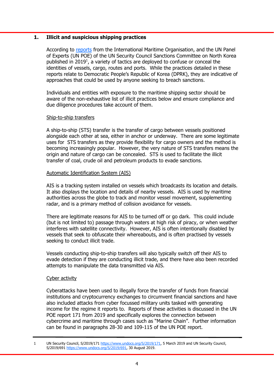## **1. Illicit and suspicious shipping practices**

According to [reports](http://shippingregs.org/Portals/2/SecuredDoc/Circulars/MSC.1-Circ.1602%20-%20Deceptive%20Shipping%20Practices%20Employed%20By%20The%20Democratic%20People) from the International Maritime Organisation, and the UN Panel of Experts (UN POE) of the UN Security Council Sanctions Committee on North Korea published in 2019<sup>1</sup>, a variety of tactics are deployed to confuse or conceal the identities of vessels, cargo, routes and ports. While the practices detailed in these reports relate to Democratic People's Republic of Korea (DPRK), they are indicative of approaches that could be used by anyone seeking to breach sanctions.

Individuals and entities with exposure to the maritime shipping sector should be aware of the non-exhaustive list of illicit practices below and ensure compliance and due diligence procedures take account of them.

## Ship-to-ship transfers

A ship-to-ship (STS) transfer is the transfer of cargo between vessels positioned alongside each other at sea, either in anchor or underway. There are some legitimate uses for STS transfers as they provide flexibility for cargo owners and the method is becoming increasingly popular. However, the very nature of STS transfers means the origin and nature of cargo can be concealed. STS is used to facilitate the illicit transfer of coal, crude oil and petroleum products to evade sanctions.

## Automatic Identification System (AIS)

AIS is a tracking system installed on vessels which broadcasts its location and details. It also displays the location and details of nearby vessels. AIS is used by maritime authorities across the globe to track and monitor vessel movement, supplementing radar, and is a primary method of collision avoidance for vessels.

There are legitimate reasons for AIS to be turned off or go dark. This could include (but is not limited to) passage through waters at high risk of piracy, or when weather interferes with satellite connectivity. However, AIS is often intentionally disabled by vessels that seek to obfuscate their whereabouts, and is often practised by vessels seeking to conduct illicit trade.

Vessels conducting ship-to-ship transfers will also typically switch off their AIS to evade detection if they are conducting illicit trade, and there have also been recorded attempts to manipulate the data transmitted via AIS.

## Cyber activity

Cyberattacks have been used to illegally force the transfer of funds from financial institutions and cryptocurrency exchanges to circumvent financial sanctions and have also included attacks from cyber focussed military units tasked with generating income for the regime it reports to. Reports of these activities is discussed in the UN POE report 171 from 2019 and specifically explores the connection between cybercrime and maritime through cases such as "Marine Chain". Further information can be found in paragraphs 28-30 and 109-115 of the UN POE report.

<sup>1</sup> UN Security Council, S/2019/171 https://www.undocs.org/S/2019/171, 5 March 2019 and UN Security Council, S/2019/691 https://www.undocs.org/S/2019/691, 30 August 2019.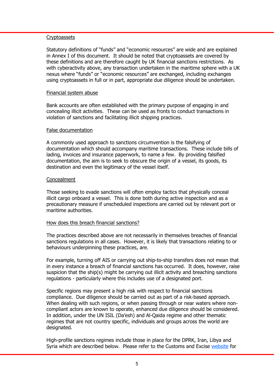## **Cryptoassets**

 Statutory definitions of "funds" and "economic resources" are wide and are explained in Annex I of this document. It should be noted that cryptoassets are covered by these definitions and are therefore caught by UK financial sanctions restrictions. As with cyberactivity above, any transaction undertaken in the maritime sphere with a UK nexus where "funds" or "economic resources" are exchanged, including exchanges using cryptoassets in full or in part, appropriate due diligence should be undertaken.

#### Financial system abuse

 Bank accounts are often established with the primary purpose of engaging in and concealing illicit activities. These can be used as fronts to conduct transactions in violation of sanctions and facilitating illicit shipping practices.

### False documentation

 A commonly used approach to sanctions circumvention is the falsifying of documentation which should accompany maritime transactions. These include bills of lading, invoices and insurance paperwork, to name a few. By providing falsified documentation, the aim is to seek to obscure the origin of a vessel, its goods, its destination and even the legitimacy of the vessel itself.

### **Concealment**

 Those seeking to evade sanctions will often employ tactics that physically conceal illicit cargo onboard a vessel. This is done both during active inspection and as a precautionary measure if unscheduled inspections are carried out by relevant port or maritime authorities.

## How does this breach financial sanctions?

 The practices described above are not necessarily in themselves breaches of financial sanctions regulations in all cases. However, it is likely that transactions relating to or behaviours underpinning these practices, are.

 For example, turning off AIS or carrying out ship-to-ship transfers does not mean that in every instance a breach of financial sanctions has occurred. It does, however, raise suspicion that the ship(s) might be carrying out illicit activity and breaching sanctions regulations - particularly where this includes use of a designated port.

 Specific regions may present a high risk with respect to financial sanctions compliance. Due diligence should be carried out as part of a risk-based approach. When dealing with such regions, or when passing through or near waters where noncompliant actors are known to operate, enhanced due diligence should be considered. In addition, under the UN ISIL (Da'esh) and Al-Qaida regime and other thematic regimes that are not country specific, individuals and groups across the world are designated.

 High-profile sanctions regimes include those in place for the DPRK, Iran, Libya and Syria which are described below. Please refer to the Customs and Excise [website](https://www.gov.im/categories/tax-vat-and-your-money/customs-and-excise/sanctions-and-export-control/) for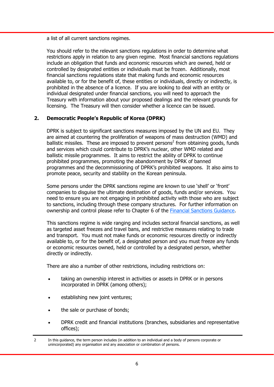a list of all current sanctions regimes.

 You should refer to the relevant sanctions regulations in order to determine what restrictions apply in relation to any given regime. Most financial sanctions regulations include an obligation that funds and economic resources which are owned, held or controlled by designated entities or individuals must be frozen. Additionally, most financial sanctions regulations state that making funds and economic resources available to, or for the benefit of, these entities or individuals, directly or indirectly, is prohibited in the absence of a licence. If you are looking to deal with an entity or individual designated under financial sanctions, you will need to approach the Treasury with information about your proposed dealings and the relevant grounds for licensing. The Treasury will then consider whether a licence can be issued.

# **2. Democratic People's Republic of Korea (DPRK)**

 DPRK is subject to significant sanctions measures imposed by the UN and EU. They are aimed at countering the proliferation of weapons of mass destruction (WMD) and ballistic missiles. These are imposed to prevent persons<sup>2</sup> from obtaining goods, funds and services which could contribute to DPRK's nuclear, other WMD related and ballistic missile programmes. It aims to restrict the ability of DPRK to continue prohibited programmes, promoting the abandonment by DPRK of banned programmes and the decommissioning of DPRK's prohibited weapons. It also aims to promote peace, security and stability on the Korean peninsula.

 Some persons under the DPRK sanctions regime are known to use 'shell' or 'front' companies to disguise the ultimate destination of goods, funds and/or services. You need to ensure you are not engaging in prohibited activity with those who are subject to sanctions, including through these company structures. For further information on ownership and control please refer to Chapter 6 of the [Financial Sanctions Guidance.](https://www.gov.im/media/1362741/financial-sanctions-guidance-september-2018-final.pdf)

 This sanctions regime is wide ranging and includes sectoral financial sanctions, as well as targeted asset freezes and travel bans, and restrictive measures relating to trade and transport. You must not make funds or economic resources directly or indirectly available to, or for the benefit of, a designated person and you must freeze any funds or economic resources owned, held or controlled by a designated person, whether directly or indirectly.

There are also a number of other restrictions, including restrictions on:

- taking an ownership interest in activities or assets in DPRK or in persons incorporated in DPRK (among others);
- establishing new joint ventures;
- the sale or purchase of bonds;
- DPRK credit and financial institutions (branches, subsidiaries and representative offices);
- 2 In this guidance, the term person includes (in addition to an individual and a body of persons corporate or unincorporated) any organisation and any association or combination of persons.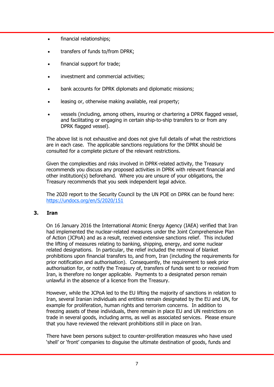- financial relationships;
- transfers of funds to/from DPRK;
- financial support for trade;
- investment and commercial activities;
- bank accounts for DPRK diplomats and diplomatic missions;
- leasing or, otherwise making available, real property;
- vessels (including, among others, insuring or chartering a DPRK flagged vessel, and facilitating or engaging in certain ship-to-ship transfers to or from any DPRK flagged vessel).

 The above list is not exhaustive and does not give full details of what the restrictions are in each case. The applicable sanctions regulations for the DPRK should be consulted for a complete picture of the relevant restrictions.

 Given the complexities and risks involved in DPRK-related activity, the Treasury recommends you discuss any proposed activities in DPRK with relevant financial and other institution(s) beforehand. Where you are unsure of your obligations, the Treasury recommends that you seek independent legal advice.

 The 2020 report to the Security Council by the UN POE on DPRK can be found here: https://undocs.org/en/S/2020/151

# **3. Iran**

 On 16 January 2016 the International Atomic Energy Agency (IAEA) verified that Iran had implemented the nuclear-related measures under the Joint Comprehensive Plan of Action (JCPoA) and as a result, received extensive sanctions relief. This included the lifting of measures relating to banking, shipping, energy, and some nuclear related designations. In particular, the relief included the removal of blanket prohibitions upon financial transfers to, and from, Iran (including the requirements for prior notification and authorisation). Consequently, the requirement to seek prior authorisation for, or notify the Treasury of, transfers of funds sent to or received from Iran, is therefore no longer applicable. Payments to a designated person remain unlawful in the absence of a licence from the Treasury.

 However, while the JCPoA led to the EU lifting the majority of sanctions in relation to Iran, several Iranian individuals and entities remain designated by the EU and UN, for example for proliferation, human rights and terrorism concerns. In addition to freezing assets of these individuals, there remain in place EU and UN restrictions on trade in several goods, including arms, as well as associated services. Please ensure that you have reviewed the relevant prohibitions still in place on Iran.

 There have been persons subject to counter-proliferation measures who have used 'shell' or 'front' companies to disguise the ultimate destination of goods, funds and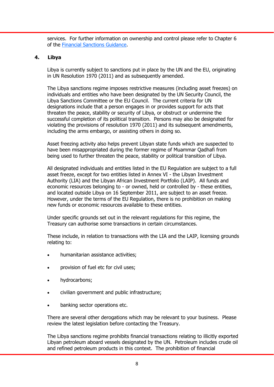services. For further information on ownership and control please refer to Chapter 6 of the [Financial Sanctions Guidance.](https://www.gov.im/media/1362741/financial-sanctions-guidance-september-2018-final.pdf) 

# **4. Libya**

 Libya is currently subject to sanctions put in place by the UN and the EU, originating in UN Resolution 1970 (2011) and as subsequently amended.

 The Libya sanctions regime imposes restrictive measures (including asset freezes) on individuals and entities who have been designated by the UN Security Council, the Libya Sanctions Committee or the EU Council. The current criteria for UN designations include that a person engages in or provides support for acts that threaten the peace, stability or security of Libya, or obstruct or undermine the successful completion of its political transition. Persons may also be designated for violating the provisions of resolution 1970 (2011) and its subsequent amendments, including the arms embargo, or assisting others in doing so.

 Asset freezing activity also helps prevent Libyan state funds which are suspected to have been misappropriated during the former regime of Muammar Qadhafi from being used to further threaten the peace, stability or political transition of Libya.

 All designated individuals and entities listed in the EU Regulation are subject to a full asset freeze, except for two entities listed in Annex VI - the Libyan Investment Authority (LIA) and the Libyan African Investment Portfolio (LAIP). All funds and economic resources belonging to - or owned, held or controlled by - these entities, and located outside Libya on 16 September 2011, are subject to an asset freeze. However, under the terms of the EU Regulation, there is no prohibition on making new funds or economic resources available to these entities.

 Under specific grounds set out in the relevant regulations for this regime, the Treasury can authorise some transactions in certain circumstances.

 These include, in relation to transactions with the LIA and the LAIP, licensing grounds relating to:

- humanitarian assistance activities;
- provision of fuel etc for civil uses;
- hydrocarbons;
- civilian government and public infrastructure;
- banking sector operations etc.

 There are several other derogations which may be relevant to your business. Please review the latest legislation before contacting the Treasury.

 The Libya sanctions regime prohibits financial transactions relating to illicitly exported Libyan petroleum aboard vessels designated by the UN. Petroleum includes crude oil and refined petroleum products in this context. The prohibition of financial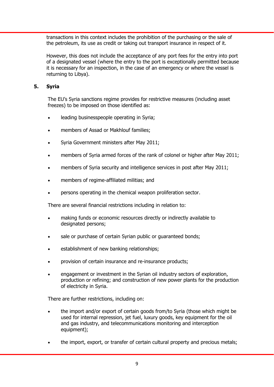transactions in this context includes the prohibition of the purchasing or the sale of the petroleum, its use as credit or taking out transport insurance in respect of it.

 However, this does not include the acceptance of any port fees for the entry into port of a designated vessel (where the entry to the port is exceptionally permitted because it is necessary for an inspection, in the case of an emergency or where the vessel is returning to Libya).

# **5. Syria**

 The EU's Syria sanctions regime provides for restrictive measures (including asset freezes) to be imposed on those identified as:

- **•** leading businesspeople operating in Syria;
- members of Assad or Makhlouf families;
- Syria Government ministers after May 2011;
- members of Syria armed forces of the rank of colonel or higher after May 2011;
- members of Syria security and intelligence services in post after May 2011;
- members of regime-affiliated militias; and
- persons operating in the chemical weapon proliferation sector.

There are several financial restrictions including in relation to:

- making funds or economic resources directly or indirectly available to designated persons;
- sale or purchase of certain Syrian public or guaranteed bonds;
- establishment of new banking relationships;
- provision of certain insurance and re-insurance products;
- engagement or investment in the Syrian oil industry sectors of exploration, production or refining; and construction of new power plants for the production of electricity in Syria.

There are further restrictions, including on:

- the import and/or export of certain goods from/to Syria (those which might be used for internal repression, jet fuel, luxury goods, key equipment for the oil and gas industry, and telecommunications monitoring and interception equipment);
- the import, export, or transfer of certain cultural property and precious metals;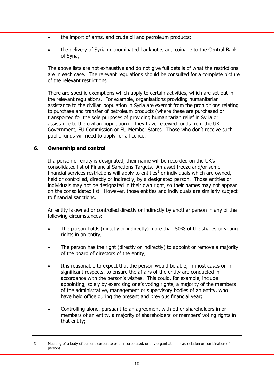- the import of arms, and crude oil and petroleum products;
- the delivery of Syrian denominated banknotes and coinage to the Central Bank of Syria;

 The above lists are not exhaustive and do not give full details of what the restrictions are in each case. The relevant regulations should be consulted for a complete picture of the relevant restrictions.

 There are specific exemptions which apply to certain activities, which are set out in the relevant regulations. For example, organisations providing humanitarian assistance to the civilian population in Syria are exempt from the prohibitions relating to purchase and transfer of petroleum products (where these are purchased or transported for the sole purposes of providing humanitarian relief in Syria or assistance to the civilian population) if they have received funds from the UK Government, EU Commission or EU Member States. Those who don't receive such public funds will need to apply for a licence.

# **6. Ownership and control**

 If a person or entity is designated, their name will be recorded on the UK's consolidated list of Financial Sanctions Targets. An asset freeze and/or some financial services restrictions will apply to entities<sup>3</sup> or individuals which are owned, held or controlled, directly or indirectly, by a designated person. Those entities or individuals may not be designated in their own right, so their names may not appear on the consolidated list. However, those entities and individuals are similarly subject to financial sanctions.

 An entity is owned or controlled directly or indirectly by another person in any of the following circumstances:

- The person holds (directly or indirectly) more than 50% of the shares or voting rights in an entity;
- The person has the right (directly or indirectly) to appoint or remove a majority of the board of directors of the entity;
- It is reasonable to expect that the person would be able, in most cases or in significant respects, to ensure the affairs of the entity are conducted in accordance with the person's wishes. This could, for example, include appointing, solely by exercising one's voting rights, a majority of the members of the administrative, management or supervisory bodies of an entity, who have held office during the present and previous financial year;
- Controlling alone, pursuant to an agreement with other shareholders in or members of an entity, a majority of shareholders' or members' voting rights in that entity;

<sup>3</sup> Meaning of a body of persons corporate or unincorporated, or any organisation or association or combination of persons.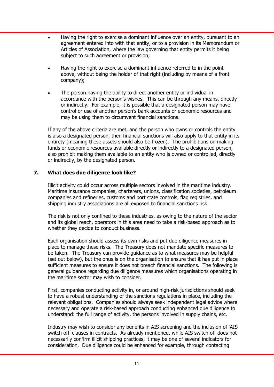- Having the right to exercise a dominant influence over an entity, pursuant to an agreement entered into with that entity, or to a provision in its Memorandum or Articles of Association, where the law governing that entity permits it being subject to such agreement or provision;
- Having the right to exercise a dominant influence referred to in the point above, without being the holder of that right (including by means of a front company);
- The person having the ability to direct another entity or individual in accordance with the person's wishes. This can be through any means, directly or indirectly. For example, it is possible that a designated person may have control or use of another person's bank accounts or economic resources and may be using them to circumvent financial sanctions.

 If any of the above criteria are met, and the person who owns or controls the entity is also a designated person, then financial sanctions will also apply to that entity in its entirety (meaning these assets should also be frozen). The prohibitions on making funds or economic resources available directly or indirectly to a designated person, also prohibit making them available to an entity who is owned or controlled, directly or indirectly, by the designated person.

# **7. What does due diligence look like?**

 Illicit activity could occur across multiple sectors involved in the maritime industry. Maritime insurance companies, charterers, unions, classification societies, petroleum companies and refineries, customs and port state controls, flag registries, and shipping industry associations are all exposed to financial sanctions risk.

 The risk is not only confined to these industries, as owing to the nature of the sector and its global reach, operators in this area need to take a risk-based approach as to whether they decide to conduct business.

 Each organisation should assess its own risks and put due diligence measures in place to manage these risks. The Treasury does not mandate specific measures to be taken. The Treasury can provide guidance as to what measures may be helpful (set out below), but the onus is on the organisation to ensure that it has put in place sufficient measures to ensure it does not breach financial sanctions. The following is general guidance regarding due diligence measures which organisations operating in the maritime sector may wish to consider.

 First, companies conducting activity in, or around high-risk jurisdictions should seek to have a robust understanding of the sanctions regulations in place, including the relevant obligations. Companies should always seek independent legal advice where necessary and operate a risk-based approach conducting enhanced due diligence to understand: the full range of activity, the persons involved in supply chains, etc.

 Industry may wish to consider any benefits in AIS screening and the inclusion of 'AIS switch off' clauses in contracts. As already mentioned, while AIS switch off does not necessarily confirm illicit shipping practices, it may be one of several indicators for consideration. Due diligence could be enhanced for example, through contacting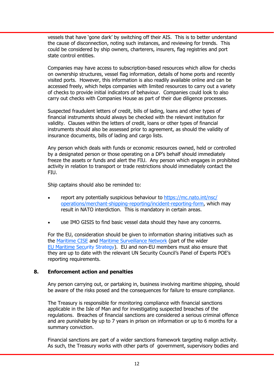vessels that have 'gone dark' by switching off their AIS. This is to better understand the cause of disconnection, noting such instances, and reviewing for trends. This could be considered by ship owners, charterers, insurers, flag registries and port state control entities.

Companies may have access to subscription-based resources which allow for checks on ownership structures, vessel flag information, details of home ports and recently visited ports. However, this information is also readily available online and can be accessed freely, which helps companies with limited resources to carry out a variety of checks to provide initial indicators of behaviour. Companies could look to also carry out checks with Companies House as part of their due diligence processes.

Suspected fraudulent letters of credit, bills of lading, loans and other types of financial instruments should always be checked with the relevant institution for validity. Clauses within the letters of credit, loans or other types of financial instruments should also be assessed prior to agreement, as should the validity of insurance documents, bills of lading and cargo lists.

Any person which deals with funds or economic resources owned, held or controlled by a designated person or those operating on a DP's behalf should immediately freeze the assets or funds and alert the FIU. Any person which engages in prohibited activity in relation to transport or trade restrictions should immediately contact the FIU.

Ship captains should also be reminded to:

- report any potentially suspicious behaviour to https://mc.nato.int/nsc/ [operations/merchant-shipping-reporting/incident-reporting-form, which may](https://mc.nato.int/nsc/operations/merchant-shipping-reporting/incident-reporting-form) result in NATO interdiction. This is mandatory in certain areas.
- use IMO GISIS to find basic vessel data should they have any concerns.

For the EU, consideration should be given to information sharing initiatives such as the [Maritime CISE](https://webgate.ec.europa.eu/maritimeforum/en/node/3585) and [Maritime Surveillance Network \(p](https://assets.publishing.service.gov.uk/government/uploads/system/uploads/attachment_data/file/903901/OFSI_-_Maritime_guidance__July_2020_.pdf)art of the wider [EU Maritime Security Strategy\)](https://assets.publishing.service.gov.uk/government/uploads/system/uploads/attachment_data/file/903901/OFSI_-_Maritime_guidance__July_2020_.pdf). EU and non-EU members must also ensure that they are up to date with the relevant UN Security Council's Panel of Experts POE's reporting requirements.

# **8. Enforcement action and penalties**

Any person carrying out, or partaking in, business involving maritime shipping, should be aware of the risks posed and the consequences for failure to ensure compliance.

The Treasury is responsible for monitoring compliance with financial sanctions applicable in the Isle of Man and for investigating suspected breaches of the regulations. Breaches of financial sanctions are considered a serious criminal offence and are punishable by up to 7 years in prison on information or up to 6 months for a summary conviction.

Financial sanctions are part of a wider sanctions framework targeting malign activity. As such, the Treasury works with other parts of government, supervisory bodies and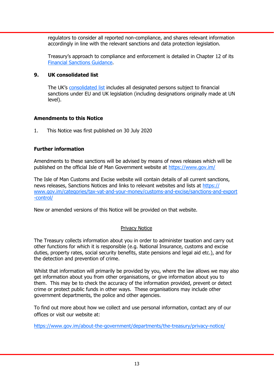regulators to consider all reported non-compliance, and shares relevant information accordingly in line with the relevant sanctions and data protection legislation.

 Treasury's approach to compliance and enforcement is detailed in Chapter 12 of its [Financial Sanctions Guidance.](https://www.gov.im/media/1362741/financial-sanctions-guidance-september-2018-final.pdf)

# **9. UK consolidated list**

 The UK's [consolidated list](https://www.gov.uk/government/publications/financial-sanctions-consolidated-list-of-targets) includes all designated persons subject to financial sanctions under EU and UK legislation (including designations originally made at UN level).

# **Amendments to this Notice**

1. This Notice was first published on 30 July 2020

# **Further information**

Amendments to these sanctions will be advised by means of news releases which will be published on the official Isle of Man Government website at https://www.gov.im/

The Isle of Man Customs and Excise website will contain details of all current sanctions, news releases, Sanctions Notices and links to relevant websites and lists at https:// www.gov.im/categories/tax-vat-and-your-money/customs-and-excise/sanctions-and-export -control/

New or amended versions of this Notice will be provided on that website.

# Privacy Notice

The Treasury collects information about you in order to administer taxation and carry out other functions for which it is responsible (e.g. National Insurance, customs and excise duties, property rates, social security benefits, state pensions and legal aid etc.), and for the detection and prevention of crime.

Whilst that information will primarily be provided by you, where the law allows we may also get information about you from other organisations, or give information about you to them. This may be to check the accuracy of the information provided, prevent or detect crime or protect public funds in other ways. These organisations may include other government departments, the police and other agencies.

To find out more about how we collect and use personal information, contact any of our offices or visit our website at:

https://www.gov.im/about-the-government/departments/the-treasury/privacy-notice/